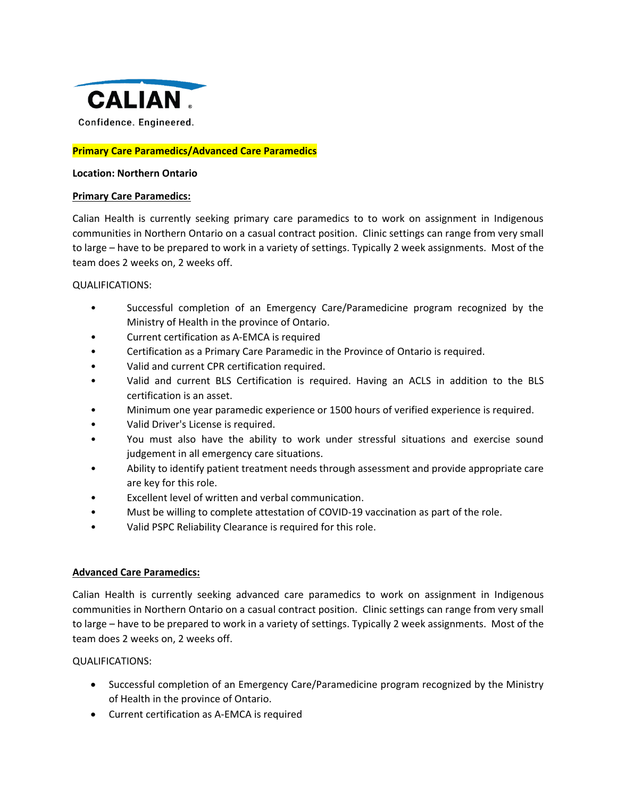

# **Primary Care Paramedics/Advanced Care Paramedics**

## **Location: Northern Ontario**

## **Primary Care Paramedics:**

Calian Health is currently seeking primary care paramedics to to work on assignment in Indigenous communities in Northern Ontario on a casual contract position. Clinic settings can range from very small to large – have to be prepared to work in a variety of settings. Typically 2 week assignments. Most of the team does 2 weeks on, 2 weeks off.

## QUALIFICATIONS:

- Successful completion of an Emergency Care/Paramedicine program recognized by the Ministry of Health in the province of Ontario.
- Current certification as A-EMCA is required
- Certification as a Primary Care Paramedic in the Province of Ontario is required.
- Valid and current CPR certification required.
- Valid and current BLS Certification is required. Having an ACLS in addition to the BLS certification is an asset.
- Minimum one year paramedic experience or 1500 hours of verified experience is required.
- Valid Driver's License is required.
- You must also have the ability to work under stressful situations and exercise sound judgement in all emergency care situations.
- Ability to identify patient treatment needs through assessment and provide appropriate care are key for this role.
- Excellent level of written and verbal communication.
- Must be willing to complete attestation of COVID-19 vaccination as part of the role.
- Valid PSPC Reliability Clearance is required for this role.

# **Advanced Care Paramedics:**

Calian Health is currently seeking advanced care paramedics to work on assignment in Indigenous communities in Northern Ontario on a casual contract position. Clinic settings can range from very small to large – have to be prepared to work in a variety of settings. Typically 2 week assignments. Most of the team does 2 weeks on, 2 weeks off.

QUALIFICATIONS:

- Successful completion of an Emergency Care/Paramedicine program recognized by the Ministry of Health in the province of Ontario.
- Current certification as A-EMCA is required